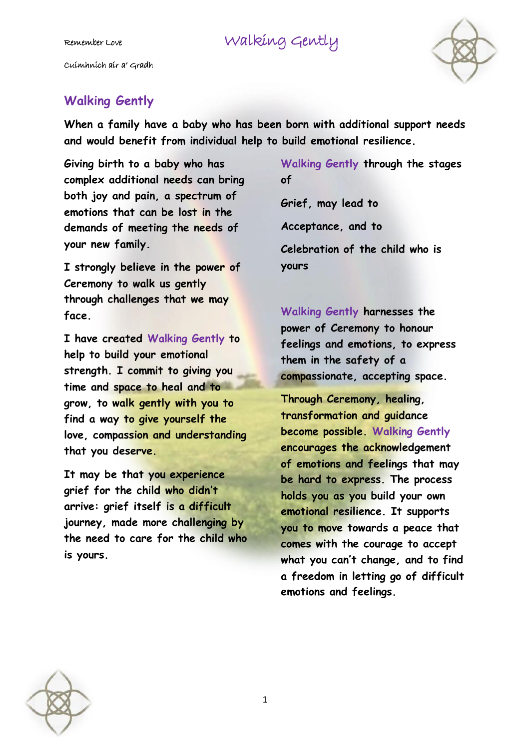## Remember Love Walking Gently

Cuimhnich air a' Gradh



## **Walking Gently**

**When a family have a baby who has been born with additional support needs and would benefit from individual help to build emotional resilience.** 

**Giving birth to a baby who has complex additional needs can bring both joy and pain, a spectrum of emotions that can be lost in the demands of meeting the needs of your new family.** 

**I strongly believe in the power of Ceremony to walk us gently through challenges that we may face.** 

**I have created Walking Gently to help to build your emotional strength. I commit to giving you time and space to heal and to grow, to walk gently with you to find a way to give yourself the love, compassion and understanding that you deserve.** 

**It may be that you experience grief for the child who didn't arrive: grief itself is a difficult journey, made more challenging by the need to care for the child who is yours.** 

**Walking Gently through the stages of** 

**Grief, may lead to Acceptance, and to Celebration of the child who is yours** 

**Walking Gently harnesses the power of Ceremony to honour feelings and emotions, to express them in the safety of a compassionate, accepting space.** 

**Through Ceremony, healing, transformation and guidance become possible. Walking Gently encourages the acknowledgement of emotions and feelings that may be hard to express. The process holds you as you build your own emotional resilience. It supports you to move towards a peace that comes with the courage to accept what you can't change, and to find a freedom in letting go of difficult emotions and feelings.**